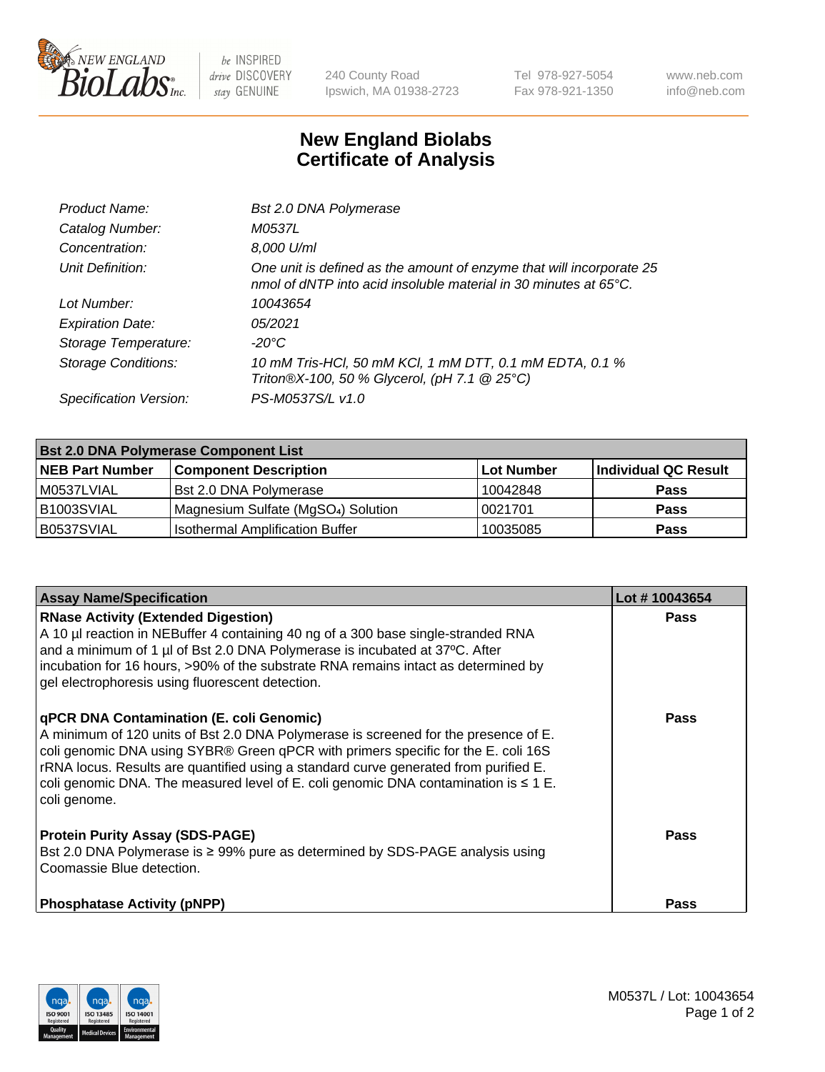

 $be$  INSPIRED drive DISCOVERY stay GENUINE

240 County Road Ipswich, MA 01938-2723 Tel 978-927-5054 Fax 978-921-1350 www.neb.com info@neb.com

## **New England Biolabs Certificate of Analysis**

| Bst 2.0 DNA Polymerase                                                                                                                             |
|----------------------------------------------------------------------------------------------------------------------------------------------------|
| M0537L                                                                                                                                             |
| 8,000 U/ml                                                                                                                                         |
| One unit is defined as the amount of enzyme that will incorporate 25<br>nmol of dNTP into acid insoluble material in 30 minutes at $65^{\circ}$ C. |
| 10043654                                                                                                                                           |
| 05/2021                                                                                                                                            |
| $-20^{\circ}$ C                                                                                                                                    |
| 10 mM Tris-HCl, 50 mM KCl, 1 mM DTT, 0.1 mM EDTA, 0.1 %<br>Triton®X-100, 50 % Glycerol, (pH 7.1 @ 25°C)                                            |
| PS-M0537S/L v1.0                                                                                                                                   |
|                                                                                                                                                    |

| <b>Bst 2.0 DNA Polymerase Component List</b> |                                                 |                   |                      |  |  |
|----------------------------------------------|-------------------------------------------------|-------------------|----------------------|--|--|
| <b>NEB Part Number</b>                       | <b>Component Description</b>                    | <b>Lot Number</b> | Individual QC Result |  |  |
| l M0537LVIAL                                 | Bst 2.0 DNA Polymerase                          | 10042848          | <b>Pass</b>          |  |  |
| B1003SVIAL                                   | Magnesium Sulfate (MgSO <sub>4</sub> ) Solution | 10021701          | <b>Pass</b>          |  |  |
| B0537SVIAL                                   | <b>Isothermal Amplification Buffer</b>          | 10035085          | <b>Pass</b>          |  |  |

| <b>Assay Name/Specification</b>                                                                                                                                                                                                                                                                                                                                                                                                 | Lot #10043654 |
|---------------------------------------------------------------------------------------------------------------------------------------------------------------------------------------------------------------------------------------------------------------------------------------------------------------------------------------------------------------------------------------------------------------------------------|---------------|
| <b>RNase Activity (Extended Digestion)</b><br>A 10 µl reaction in NEBuffer 4 containing 40 ng of a 300 base single-stranded RNA<br>and a minimum of 1 µl of Bst 2.0 DNA Polymerase is incubated at 37°C. After<br>incubation for 16 hours, >90% of the substrate RNA remains intact as determined by<br>gel electrophoresis using fluorescent detection.                                                                        | <b>Pass</b>   |
| <b>qPCR DNA Contamination (E. coli Genomic)</b><br>A minimum of 120 units of Bst 2.0 DNA Polymerase is screened for the presence of E.<br>coli genomic DNA using SYBR® Green qPCR with primers specific for the E. coli 16S<br>rRNA locus. Results are quantified using a standard curve generated from purified E.<br>coli genomic DNA. The measured level of E. coli genomic DNA contamination is $\leq 1$ E.<br>coli genome. | <b>Pass</b>   |
| <b>Protein Purity Assay (SDS-PAGE)</b><br>Bst 2.0 DNA Polymerase is ≥ 99% pure as determined by SDS-PAGE analysis using<br>l Coomassie Blue detection.                                                                                                                                                                                                                                                                          | <b>Pass</b>   |
| <b>Phosphatase Activity (pNPP)</b>                                                                                                                                                                                                                                                                                                                                                                                              | <b>Pass</b>   |